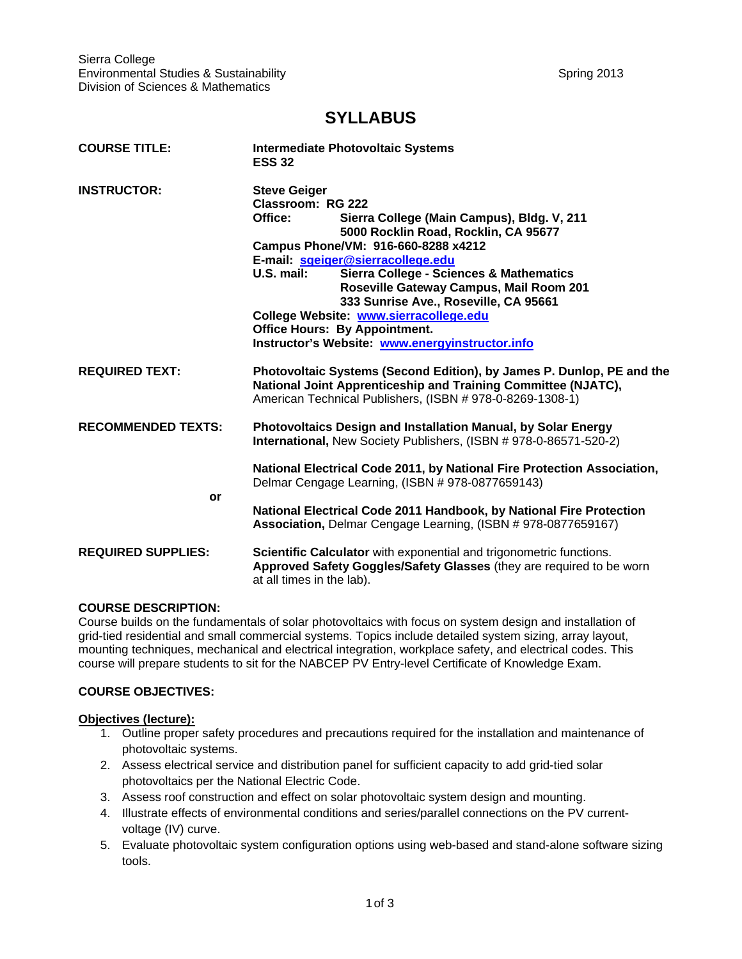# **SYLLABUS**

| <b>COURSE TITLE:</b>      | <b>Intermediate Photovoltaic Systems</b><br><b>ESS 32</b>                                                                                                                                                                                                                                                                                                                                                                                                                                                          |  |
|---------------------------|--------------------------------------------------------------------------------------------------------------------------------------------------------------------------------------------------------------------------------------------------------------------------------------------------------------------------------------------------------------------------------------------------------------------------------------------------------------------------------------------------------------------|--|
| <b>INSTRUCTOR:</b>        | <b>Steve Geiger</b><br>Classroom: RG 222<br>Office:<br>Sierra College (Main Campus), Bldg. V, 211<br>5000 Rocklin Road, Rocklin, CA 95677<br>Campus Phone/VM: 916-660-8288 x4212<br>E-mail: sgeiger@sierracollege.edu<br>U.S. mail:<br><b>Sierra College - Sciences &amp; Mathematics</b><br>Roseville Gateway Campus, Mail Room 201<br>333 Sunrise Ave., Roseville, CA 95661<br>College Website: www.sierracollege.edu<br><b>Office Hours: By Appointment.</b><br>Instructor's Website: www.energyinstructor.info |  |
| <b>REQUIRED TEXT:</b>     | Photovoltaic Systems (Second Edition), by James P. Dunlop, PE and the<br>National Joint Apprenticeship and Training Committee (NJATC),<br>American Technical Publishers, (ISBN # 978-0-8269-1308-1)                                                                                                                                                                                                                                                                                                                |  |
| <b>RECOMMENDED TEXTS:</b> | Photovoltaics Design and Installation Manual, by Solar Energy<br>International, New Society Publishers, (ISBN # 978-0-86571-520-2)                                                                                                                                                                                                                                                                                                                                                                                 |  |
| or                        | National Electrical Code 2011, by National Fire Protection Association,<br>Delmar Cengage Learning, (ISBN # 978-0877659143)                                                                                                                                                                                                                                                                                                                                                                                        |  |
|                           | National Electrical Code 2011 Handbook, by National Fire Protection<br>Association, Delmar Cengage Learning, (ISBN #978-0877659167)                                                                                                                                                                                                                                                                                                                                                                                |  |
| <b>REQUIRED SUPPLIES:</b> | Scientific Calculator with exponential and trigonometric functions.<br>Approved Safety Goggles/Safety Glasses (they are required to be worn<br>at all times in the lab).                                                                                                                                                                                                                                                                                                                                           |  |

## **COURSE DESCRIPTION:**

Course builds on the fundamentals of solar photovoltaics with focus on system design and installation of grid-tied residential and small commercial systems. Topics include detailed system sizing, array layout, mounting techniques, mechanical and electrical integration, workplace safety, and electrical codes. This course will prepare students to sit for the NABCEP PV Entry-level Certificate of Knowledge Exam.

## **COURSE OBJECTIVES:**

#### **Objectives (lecture):**

- 1. Outline proper safety procedures and precautions required for the installation and maintenance of photovoltaic systems.
- 2. Assess electrical service and distribution panel for sufficient capacity to add grid-tied solar photovoltaics per the National Electric Code.
- 3. Assess roof construction and effect on solar photovoltaic system design and mounting.
- 4. Illustrate effects of environmental conditions and series/parallel connections on the PV currentvoltage (IV) curve.
- 5. Evaluate photovoltaic system configuration options using web-based and stand-alone software sizing tools.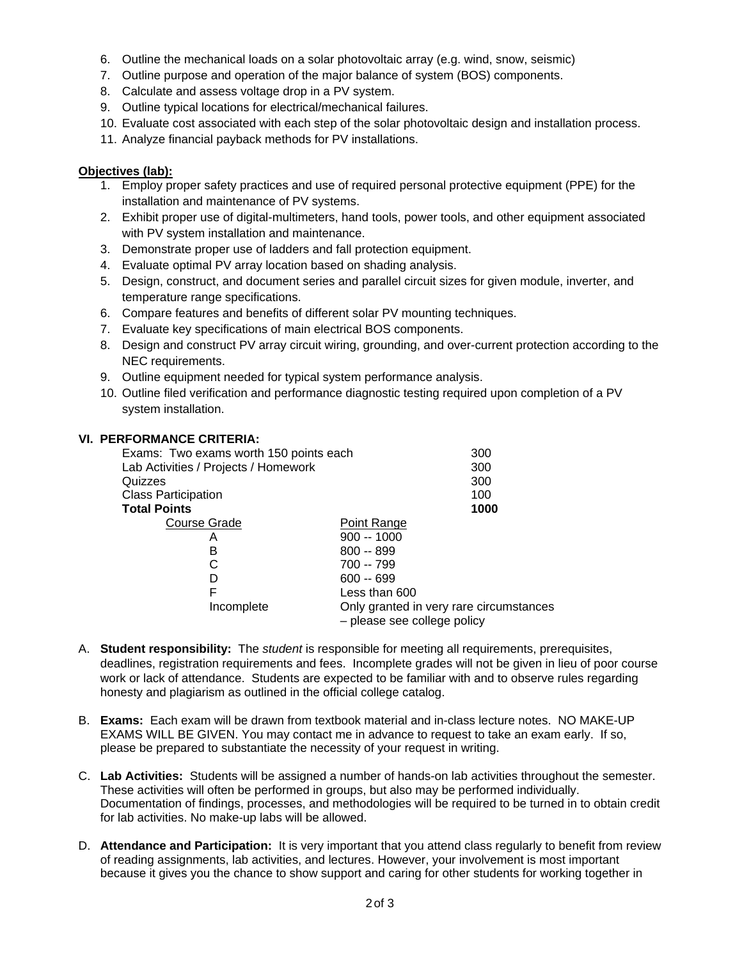- 6. Outline the mechanical loads on a solar photovoltaic array (e.g. wind, snow, seismic)
- 7. Outline purpose and operation of the major balance of system (BOS) components.
- 8. Calculate and assess voltage drop in a PV system.
- 9. Outline typical locations for electrical/mechanical failures.
- 10. Evaluate cost associated with each step of the solar photovoltaic design and installation process.
- 11. Analyze financial payback methods for PV installations.

## **Objectives (lab):**

- 1. Employ proper safety practices and use of required personal protective equipment (PPE) for the installation and maintenance of PV systems.
- 2. Exhibit proper use of digital-multimeters, hand tools, power tools, and other equipment associated with PV system installation and maintenance.
- 3. Demonstrate proper use of ladders and fall protection equipment.
- 4. Evaluate optimal PV array location based on shading analysis.
- 5. Design, construct, and document series and parallel circuit sizes for given module, inverter, and temperature range specifications.
- 6. Compare features and benefits of different solar PV mounting techniques.
- 7. Evaluate key specifications of main electrical BOS components.
- 8. Design and construct PV array circuit wiring, grounding, and over-current protection according to the NEC requirements.
- 9. Outline equipment needed for typical system performance analysis.
- 10. Outline filed verification and performance diagnostic testing required upon completion of a PV system installation.

## **VI. PERFORMANCE CRITERIA:**

| Exams: Two exams worth 150 points each | 300                                                                    |
|----------------------------------------|------------------------------------------------------------------------|
| Lab Activities / Projects / Homework   | 300                                                                    |
| Quizzes                                | 300                                                                    |
| <b>Class Participation</b>             | 100                                                                    |
| <b>Total Points</b>                    | 1000                                                                   |
| Course Grade                           | Point Range                                                            |
| А                                      | $900 - 1000$                                                           |
| в                                      | $800 - 899$                                                            |
|                                        | 700 -- 799                                                             |
|                                        | $600 - 699$                                                            |
| F                                      | Less than 600                                                          |
| Incomplete                             | Only granted in very rare circumstances<br>- please see college policy |

- A. **Student responsibility:** The *student* is responsible for meeting all requirements, prerequisites, deadlines, registration requirements and fees. Incomplete grades will not be given in lieu of poor course work or lack of attendance. Students are expected to be familiar with and to observe rules regarding honesty and plagiarism as outlined in the official college catalog.
- B. **Exams:** Each exam will be drawn from textbook material and in-class lecture notes. NO MAKE-UP EXAMS WILL BE GIVEN. You may contact me in advance to request to take an exam early. If so, please be prepared to substantiate the necessity of your request in writing.
- C. **Lab Activities:** Students will be assigned a number of hands-on lab activities throughout the semester. These activities will often be performed in groups, but also may be performed individually. Documentation of findings, processes, and methodologies will be required to be turned in to obtain credit for lab activities. No make-up labs will be allowed.
- D. **Attendance and Participation:** It is very important that you attend class regularly to benefit from review of reading assignments, lab activities, and lectures. However, your involvement is most important because it gives you the chance to show support and caring for other students for working together in